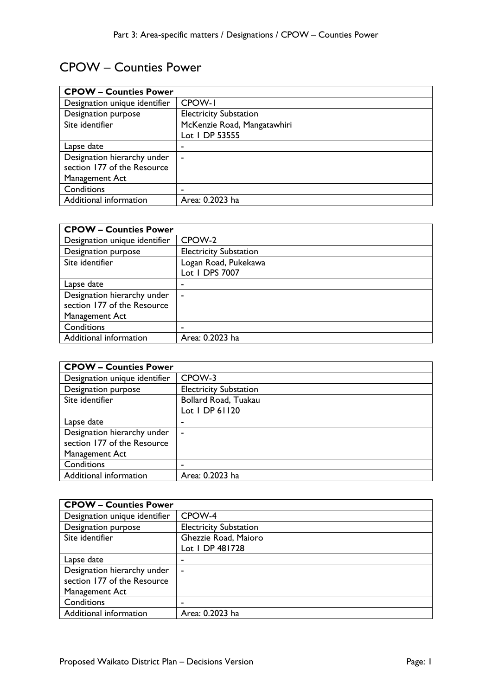## CPOW – Counties Power

| <b>CPOW - Counties Power</b>  |                               |
|-------------------------------|-------------------------------|
| Designation unique identifier | CPOW-I                        |
| Designation purpose           | <b>Electricity Substation</b> |
| Site identifier               | McKenzie Road, Mangatawhiri   |
|                               | Lot 1 DP 53555                |
| Lapse date                    |                               |
| Designation hierarchy under   | ۰                             |
| section 177 of the Resource   |                               |
| Management Act                |                               |
| Conditions                    | -                             |
| Additional information        | Area: 0.2023 ha               |

| <b>CPOW - Counties Power</b>  |                               |
|-------------------------------|-------------------------------|
| Designation unique identifier | CPOW-2                        |
| Designation purpose           | <b>Electricity Substation</b> |
| Site identifier               | Logan Road, Pukekawa          |
|                               | Lot 1 DPS 7007                |
| Lapse date                    | ۰                             |
| Designation hierarchy under   | $\blacksquare$                |
| section 177 of the Resource   |                               |
| Management Act                |                               |
| Conditions                    | ٠                             |
| Additional information        | Area: 0.2023 ha               |

| <b>CPOW - Counties Power</b>  |                               |
|-------------------------------|-------------------------------|
| Designation unique identifier | CPOW-3                        |
| Designation purpose           | <b>Electricity Substation</b> |
| Site identifier               | Bollard Road, Tuakau          |
|                               | Lot   DP 61120                |
| Lapse date                    | ٠                             |
| Designation hierarchy under   | $\blacksquare$                |
| section 177 of the Resource   |                               |
| Management Act                |                               |
| Conditions                    | -                             |
| Additional information        | Area: 0.2023 ha               |

| <b>CPOW - Counties Power</b>  |                               |
|-------------------------------|-------------------------------|
| Designation unique identifier | CPOW-4                        |
| Designation purpose           | <b>Electricity Substation</b> |
| Site identifier               | Ghezzie Road, Maioro          |
|                               | Lot 1 DP 481728               |
| Lapse date                    |                               |
| Designation hierarchy under   |                               |
| section 177 of the Resource   |                               |
| Management Act                |                               |
| Conditions                    | -                             |
| Additional information        | Area: 0.2023 ha               |